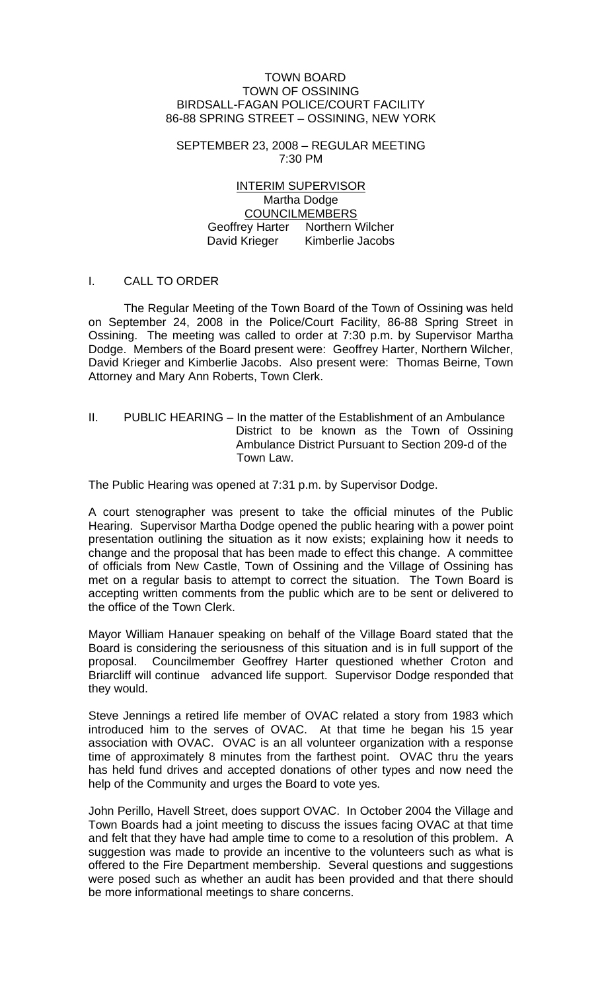#### TOWN BOARD TOWN OF OSSINING BIRDSALL-FAGAN POLICE/COURT FACILITY 86-88 SPRING STREET – OSSINING, NEW YORK

SEPTEMBER 23, 2008 – REGULAR MEETING 7:30 PM

> INTERIM SUPERVISOR Martha Dodge COUNCILMEMBERS Geoffrey Harter Northern Wilcher David Krieger Kimberlie Jacobs

### I. CALL TO ORDER

 The Regular Meeting of the Town Board of the Town of Ossining was held on September 24, 2008 in the Police/Court Facility, 86-88 Spring Street in Ossining. The meeting was called to order at 7:30 p.m. by Supervisor Martha Dodge. Members of the Board present were: Geoffrey Harter, Northern Wilcher, David Krieger and Kimberlie Jacobs. Also present were: Thomas Beirne, Town Attorney and Mary Ann Roberts, Town Clerk.

II. PUBLIC HEARING – In the matter of the Establishment of an Ambulance District to be known as the Town of Ossining Ambulance District Pursuant to Section 209-d of the Town Law.

The Public Hearing was opened at 7:31 p.m. by Supervisor Dodge.

A court stenographer was present to take the official minutes of the Public Hearing. Supervisor Martha Dodge opened the public hearing with a power point presentation outlining the situation as it now exists; explaining how it needs to change and the proposal that has been made to effect this change. A committee of officials from New Castle, Town of Ossining and the Village of Ossining has met on a regular basis to attempt to correct the situation. The Town Board is accepting written comments from the public which are to be sent or delivered to the office of the Town Clerk.

Mayor William Hanauer speaking on behalf of the Village Board stated that the Board is considering the seriousness of this situation and is in full support of the proposal. Councilmember Geoffrey Harter questioned whether Croton and Briarcliff will continue advanced life support. Supervisor Dodge responded that they would.

Steve Jennings a retired life member of OVAC related a story from 1983 which introduced him to the serves of OVAC. At that time he began his 15 year association with OVAC. OVAC is an all volunteer organization with a response time of approximately 8 minutes from the farthest point. OVAC thru the years has held fund drives and accepted donations of other types and now need the help of the Community and urges the Board to vote yes.

John Perillo, Havell Street, does support OVAC. In October 2004 the Village and Town Boards had a joint meeting to discuss the issues facing OVAC at that time and felt that they have had ample time to come to a resolution of this problem. A suggestion was made to provide an incentive to the volunteers such as what is offered to the Fire Department membership. Several questions and suggestions were posed such as whether an audit has been provided and that there should be more informational meetings to share concerns.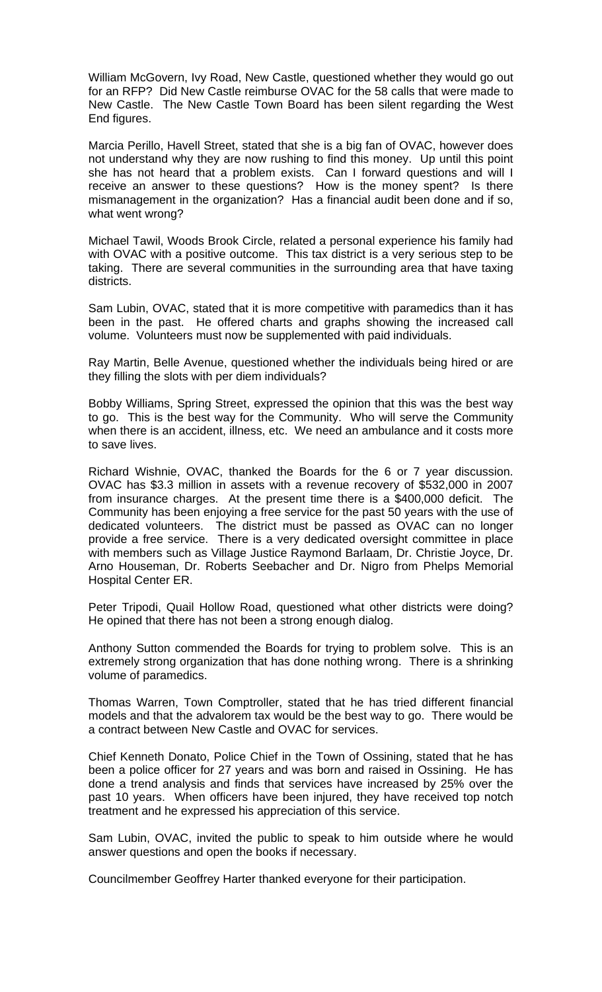William McGovern, Ivy Road, New Castle, questioned whether they would go out for an RFP? Did New Castle reimburse OVAC for the 58 calls that were made to New Castle. The New Castle Town Board has been silent regarding the West End figures.

Marcia Perillo, Havell Street, stated that she is a big fan of OVAC, however does not understand why they are now rushing to find this money. Up until this point she has not heard that a problem exists. Can I forward questions and will I receive an answer to these questions? How is the money spent? Is there mismanagement in the organization? Has a financial audit been done and if so, what went wrong?

Michael Tawil, Woods Brook Circle, related a personal experience his family had with OVAC with a positive outcome. This tax district is a very serious step to be taking. There are several communities in the surrounding area that have taxing districts.

Sam Lubin, OVAC, stated that it is more competitive with paramedics than it has been in the past. He offered charts and graphs showing the increased call volume. Volunteers must now be supplemented with paid individuals.

Ray Martin, Belle Avenue, questioned whether the individuals being hired or are they filling the slots with per diem individuals?

Bobby Williams, Spring Street, expressed the opinion that this was the best way to go. This is the best way for the Community. Who will serve the Community when there is an accident, illness, etc. We need an ambulance and it costs more to save lives.

Richard Wishnie, OVAC, thanked the Boards for the 6 or 7 year discussion. OVAC has \$3.3 million in assets with a revenue recovery of \$532,000 in 2007 from insurance charges. At the present time there is a \$400,000 deficit. The Community has been enjoying a free service for the past 50 years with the use of dedicated volunteers. The district must be passed as OVAC can no longer provide a free service. There is a very dedicated oversight committee in place with members such as Village Justice Raymond Barlaam, Dr. Christie Joyce, Dr. Arno Houseman, Dr. Roberts Seebacher and Dr. Nigro from Phelps Memorial Hospital Center ER.

Peter Tripodi, Quail Hollow Road, questioned what other districts were doing? He opined that there has not been a strong enough dialog.

Anthony Sutton commended the Boards for trying to problem solve. This is an extremely strong organization that has done nothing wrong. There is a shrinking volume of paramedics.

Thomas Warren, Town Comptroller, stated that he has tried different financial models and that the advalorem tax would be the best way to go. There would be a contract between New Castle and OVAC for services.

Chief Kenneth Donato, Police Chief in the Town of Ossining, stated that he has been a police officer for 27 years and was born and raised in Ossining. He has done a trend analysis and finds that services have increased by 25% over the past 10 years. When officers have been injured, they have received top notch treatment and he expressed his appreciation of this service.

Sam Lubin, OVAC, invited the public to speak to him outside where he would answer questions and open the books if necessary.

Councilmember Geoffrey Harter thanked everyone for their participation.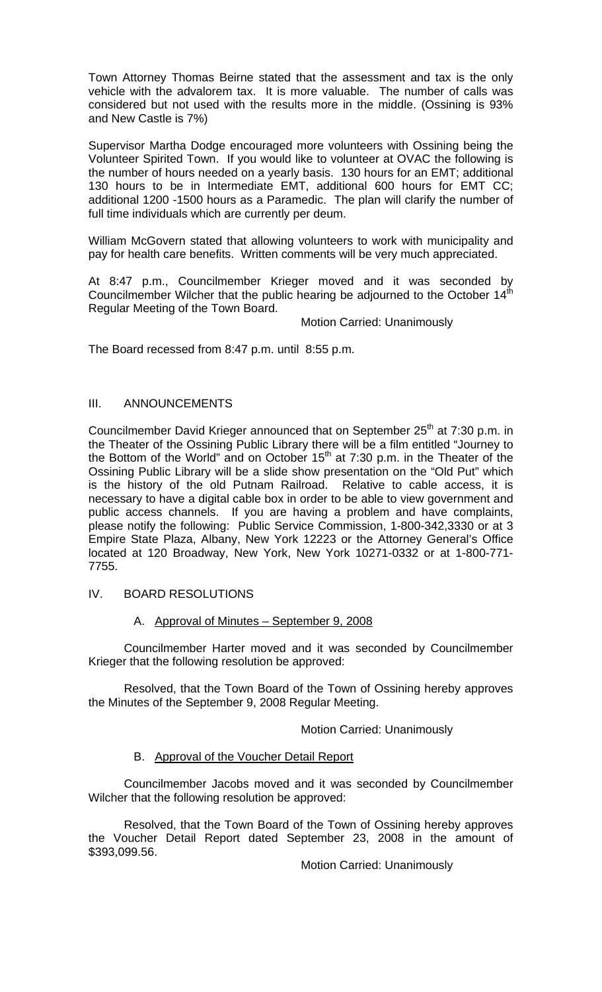Town Attorney Thomas Beirne stated that the assessment and tax is the only vehicle with the advalorem tax. It is more valuable. The number of calls was considered but not used with the results more in the middle. (Ossining is 93% and New Castle is 7%)

Supervisor Martha Dodge encouraged more volunteers with Ossining being the Volunteer Spirited Town. If you would like to volunteer at OVAC the following is the number of hours needed on a yearly basis. 130 hours for an EMT; additional 130 hours to be in Intermediate EMT, additional 600 hours for EMT CC; additional 1200 -1500 hours as a Paramedic. The plan will clarify the number of full time individuals which are currently per deum.

William McGovern stated that allowing volunteers to work with municipality and pay for health care benefits. Written comments will be very much appreciated.

At 8:47 p.m., Councilmember Krieger moved and it was seconded by Councilmember Wilcher that the public hearing be adjourned to the October 14 $^{\text{th}}$ Regular Meeting of the Town Board.

Motion Carried: Unanimously

The Board recessed from 8:47 p.m. until 8:55 p.m.

# III. ANNOUNCEMENTS

Councilmember David Krieger announced that on September 25<sup>th</sup> at 7:30 p.m. in the Theater of the Ossining Public Library there will be a film entitled "Journey to the Bottom of the World" and on October 15<sup>th</sup> at 7:30 p.m. in the Theater of the Ossining Public Library will be a slide show presentation on the "Old Put" which is the history of the old Putnam Railroad. Relative to cable access, it is necessary to have a digital cable box in order to be able to view government and public access channels. If you are having a problem and have complaints, please notify the following: Public Service Commission, 1-800-342,3330 or at 3 Empire State Plaza, Albany, New York 12223 or the Attorney General's Office located at 120 Broadway, New York, New York 10271-0332 or at 1-800-771- 7755.

IV. BOARD RESOLUTIONS

# A. Approval of Minutes – September 9, 2008

 Councilmember Harter moved and it was seconded by Councilmember Krieger that the following resolution be approved:

 Resolved, that the Town Board of the Town of Ossining hereby approves the Minutes of the September 9, 2008 Regular Meeting.

Motion Carried: Unanimously

### B. Approval of the Voucher Detail Report

 Councilmember Jacobs moved and it was seconded by Councilmember Wilcher that the following resolution be approved:

Resolved, that the Town Board of the Town of Ossining hereby approves the Voucher Detail Report dated September 23, 2008 in the amount of \$393,099.56.

Motion Carried: Unanimously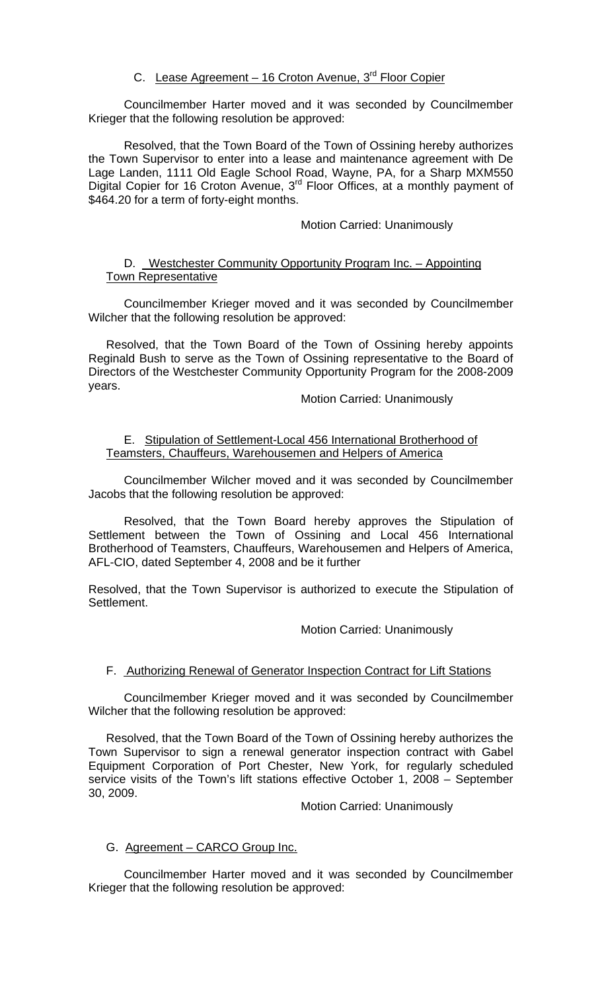# C. Lease Agreement - 16 Croton Avenue, 3<sup>rd</sup> Floor Copier

 Councilmember Harter moved and it was seconded by Councilmember Krieger that the following resolution be approved:

Resolved, that the Town Board of the Town of Ossining hereby authorizes the Town Supervisor to enter into a lease and maintenance agreement with De Lage Landen, 1111 Old Eagle School Road, Wayne, PA, for a Sharp MXM550 Digital Copier for 16 Croton Avenue, 3<sup>rd</sup> Floor Offices, at a monthly payment of \$464.20 for a term of forty-eight months.

### Motion Carried: Unanimously

# D. Westchester Community Opportunity Program Inc. – Appointing Town Representative

 Councilmember Krieger moved and it was seconded by Councilmember Wilcher that the following resolution be approved:

Resolved, that the Town Board of the Town of Ossining hereby appoints Reginald Bush to serve as the Town of Ossining representative to the Board of Directors of the Westchester Community Opportunity Program for the 2008-2009 years.

Motion Carried: Unanimously

## E. Stipulation of Settlement-Local 456 International Brotherhood of Teamsters, Chauffeurs, Warehousemen and Helpers of America

 Councilmember Wilcher moved and it was seconded by Councilmember Jacobs that the following resolution be approved:

Resolved, that the Town Board hereby approves the Stipulation of Settlement between the Town of Ossining and Local 456 International Brotherhood of Teamsters, Chauffeurs, Warehousemen and Helpers of America, AFL-CIO, dated September 4, 2008 and be it further

Resolved, that the Town Supervisor is authorized to execute the Stipulation of Settlement.

### Motion Carried: Unanimously

# F. Authorizing Renewal of Generator Inspection Contract for Lift Stations

 Councilmember Krieger moved and it was seconded by Councilmember Wilcher that the following resolution be approved:

Resolved, that the Town Board of the Town of Ossining hereby authorizes the Town Supervisor to sign a renewal generator inspection contract with Gabel Equipment Corporation of Port Chester, New York, for regularly scheduled service visits of the Town's lift stations effective October 1, 2008 – September 30, 2009.

### Motion Carried: Unanimously

# G. Agreement – CARCO Group Inc.

 Councilmember Harter moved and it was seconded by Councilmember Krieger that the following resolution be approved: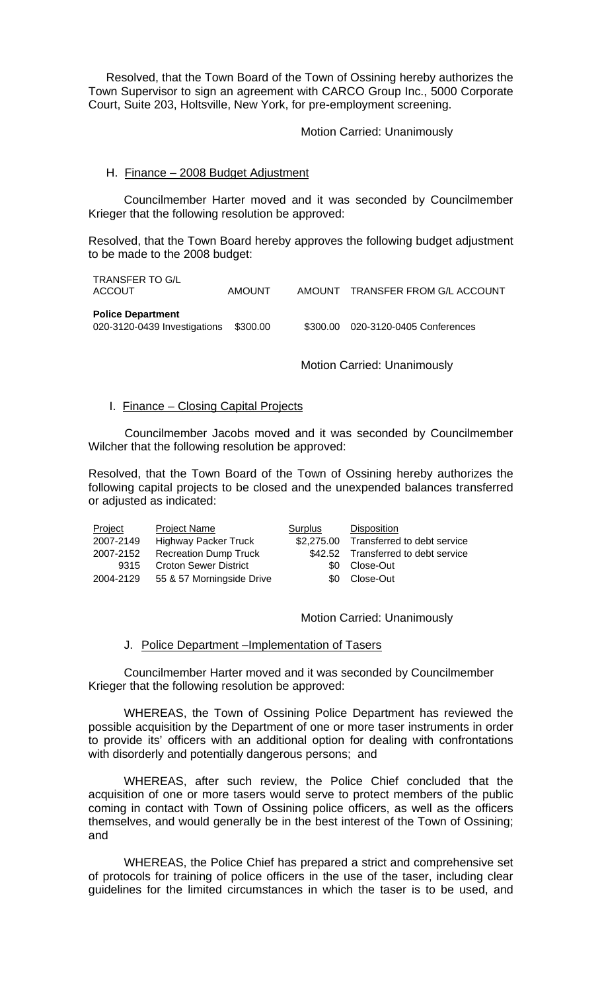Resolved, that the Town Board of the Town of Ossining hereby authorizes the Town Supervisor to sign an agreement with CARCO Group Inc., 5000 Corporate Court, Suite 203, Holtsville, New York, for pre-employment screening.

Motion Carried: Unanimously

#### H. Finance – 2008 Budget Adjustment

 Councilmember Harter moved and it was seconded by Councilmember Krieger that the following resolution be approved:

Resolved, that the Town Board hereby approves the following budget adjustment to be made to the 2008 budget:

| TRANSFER TO G/L<br>ACCOUT                                | AMOUNT   |          | AMOUNT TRANSFER FROM G/L ACCOUNT |  |
|----------------------------------------------------------|----------|----------|----------------------------------|--|
| <b>Police Department</b><br>020-3120-0439 Investigations | \$300.00 | \$300.00 | 020-3120-0405 Conferences        |  |

Motion Carried: Unanimously

#### I. Finance – Closing Capital Projects

 Councilmember Jacobs moved and it was seconded by Councilmember Wilcher that the following resolution be approved:

Resolved, that the Town Board of the Town of Ossining hereby authorizes the following capital projects to be closed and the unexpended balances transferred or adjusted as indicated:

| Project   | <b>Project Name</b>          | Surplus | Disposition                            |
|-----------|------------------------------|---------|----------------------------------------|
| 2007-2149 | <b>Highway Packer Truck</b>  |         | \$2,275.00 Transferred to debt service |
| 2007-2152 | <b>Recreation Dump Truck</b> |         | \$42.52 Transferred to debt service    |
| 9315      | <b>Croton Sewer District</b> |         | \$0 Close-Out                          |
| 2004-2129 | 55 & 57 Morningside Drive    |         | \$0 Close-Out                          |

Motion Carried: Unanimously

### J. Police Department –Implementation of Tasers

Councilmember Harter moved and it was seconded by Councilmember Krieger that the following resolution be approved:

 WHEREAS, the Town of Ossining Police Department has reviewed the possible acquisition by the Department of one or more taser instruments in order to provide its' officers with an additional option for dealing with confrontations with disorderly and potentially dangerous persons; and

WHEREAS, after such review, the Police Chief concluded that the acquisition of one or more tasers would serve to protect members of the public coming in contact with Town of Ossining police officers, as well as the officers themselves, and would generally be in the best interest of the Town of Ossining; and

WHEREAS, the Police Chief has prepared a strict and comprehensive set of protocols for training of police officers in the use of the taser, including clear guidelines for the limited circumstances in which the taser is to be used, and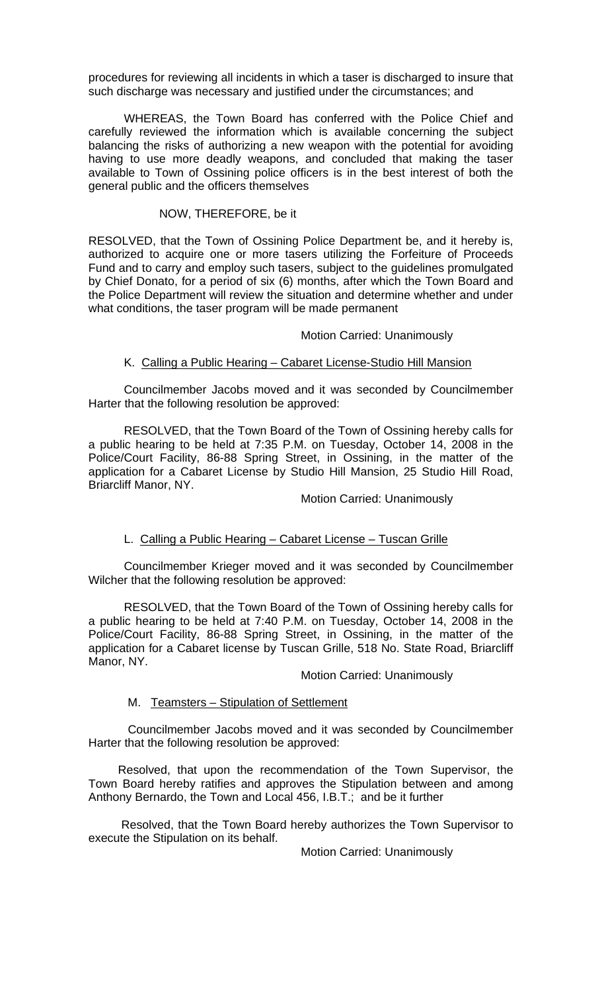procedures for reviewing all incidents in which a taser is discharged to insure that such discharge was necessary and justified under the circumstances; and

WHEREAS, the Town Board has conferred with the Police Chief and carefully reviewed the information which is available concerning the subject balancing the risks of authorizing a new weapon with the potential for avoiding having to use more deadly weapons, and concluded that making the taser available to Town of Ossining police officers is in the best interest of both the general public and the officers themselves

#### NOW, THEREFORE, be it

RESOLVED, that the Town of Ossining Police Department be, and it hereby is, authorized to acquire one or more tasers utilizing the Forfeiture of Proceeds Fund and to carry and employ such tasers, subject to the guidelines promulgated by Chief Donato, for a period of six (6) months, after which the Town Board and the Police Department will review the situation and determine whether and under what conditions, the taser program will be made permanent

### Motion Carried: Unanimously

# K. Calling a Public Hearing – Cabaret License-Studio Hill Mansion

Councilmember Jacobs moved and it was seconded by Councilmember Harter that the following resolution be approved:

RESOLVED, that the Town Board of the Town of Ossining hereby calls for a public hearing to be held at 7:35 P.M. on Tuesday, October 14, 2008 in the Police/Court Facility, 86-88 Spring Street, in Ossining, in the matter of the application for a Cabaret License by Studio Hill Mansion, 25 Studio Hill Road, Briarcliff Manor, NY.

### Motion Carried: Unanimously

### L. Calling a Public Hearing – Cabaret License – Tuscan Grille

 Councilmember Krieger moved and it was seconded by Councilmember Wilcher that the following resolution be approved:

RESOLVED, that the Town Board of the Town of Ossining hereby calls for a public hearing to be held at 7:40 P.M. on Tuesday, October 14, 2008 in the Police/Court Facility, 86-88 Spring Street, in Ossining, in the matter of the application for a Cabaret license by Tuscan Grille, 518 No. State Road, Briarcliff Manor, NY.

#### Motion Carried: Unanimously

### M. Teamsters – Stipulation of Settlement

 Councilmember Jacobs moved and it was seconded by Councilmember Harter that the following resolution be approved:

 Resolved, that upon the recommendation of the Town Supervisor, the Town Board hereby ratifies and approves the Stipulation between and among Anthony Bernardo, the Town and Local 456, I.B.T.; and be it further

 Resolved, that the Town Board hereby authorizes the Town Supervisor to execute the Stipulation on its behalf.

Motion Carried: Unanimously